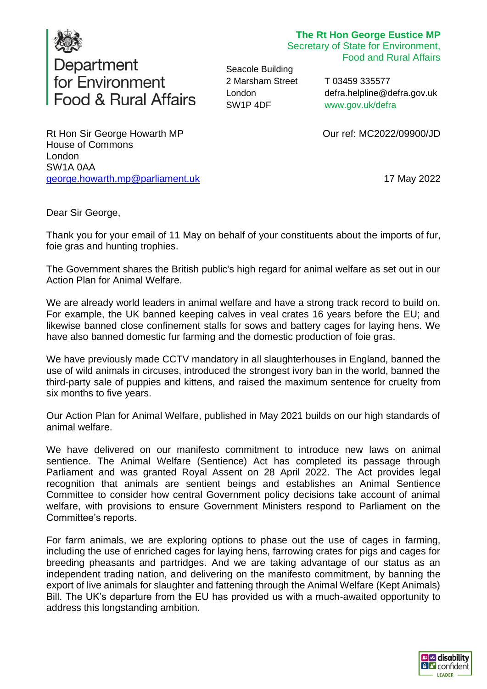

## **The Rt Hon George Eustice MP**

Secretary of State for Environment, Food and Rural Affairs

Seacole Building 2 Marsham Street London SW1P 4DF

T 03459 335577 defra.helpline@defra.gov.uk www.gov.uk/defra

Our ref: MC2022/09900/JD

17 May 2022

Rt Hon Sir George Howarth MP House of Commons London SW1A 0AA [george.howarth.mp@parliament.uk](mailto:george.howarth.mp@parliament.uk)

Dear Sir George,

Thank you for your email of 11 May on behalf of your constituents about the imports of fur, foie gras and hunting trophies.

The Government shares the British public's high regard for animal welfare as set out in our Action Plan for Animal Welfare.

We are already world leaders in animal welfare and have a strong track record to build on. For example, the UK banned keeping calves in veal crates 16 years before the EU; and likewise banned close confinement stalls for sows and battery cages for laying hens. We have also banned domestic fur farming and the domestic production of foie gras.

We have previously made CCTV mandatory in all slaughterhouses in England, banned the use of wild animals in circuses, introduced the strongest ivory ban in the world, banned the third-party sale of puppies and kittens, and raised the maximum sentence for cruelty from six months to five years.

Our Action Plan for Animal Welfare, published in May 2021 builds on our high standards of animal welfare.

We have delivered on our manifesto commitment to introduce new laws on animal sentience. The Animal Welfare (Sentience) Act has completed its passage through Parliament and was granted Royal Assent on 28 April 2022. The Act provides legal recognition that animals are sentient beings and establishes an Animal Sentience Committee to consider how central Government policy decisions take account of animal welfare, with provisions to ensure Government Ministers respond to Parliament on the Committee's reports.

For farm animals, we are exploring options to phase out the use of cages in farming, including the use of enriched cages for laying hens, farrowing crates for pigs and cages for breeding pheasants and partridges. And we are taking advantage of our status as an independent trading nation, and delivering on the manifesto commitment, by banning the export of live animals for slaughter and fattening through the Animal Welfare (Kept Animals) Bill. The UK's departure from the EU has provided us with a much-awaited opportunity to address this longstanding ambition.